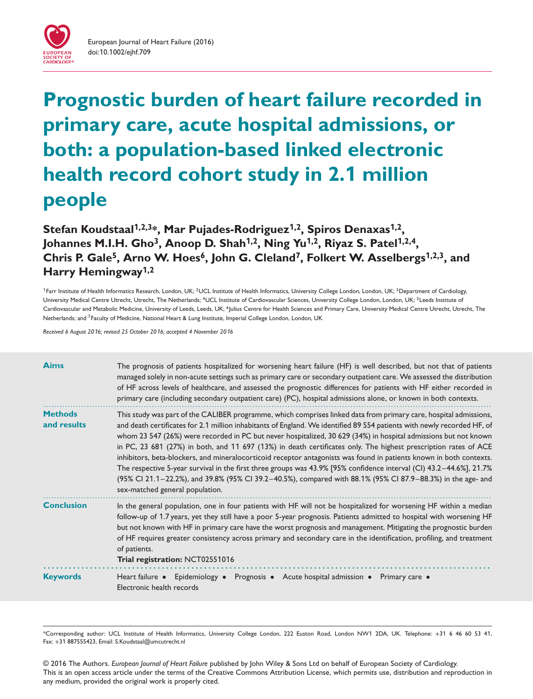European Journal of Heart Failure (2016) doi:10.1002/ejhf.709



# **Prognostic burden of heart failure recorded in primary care, acute hospital admissions, or both: a population-based linked electronic health record cohort study in 2.1 million people**

**Stefan Koudstaal<sup>1</sup>,2,3\*, Mar Pujades-Rodriguez<sup>1</sup>,2, Spiros Denaxas<sup>1</sup>,2, Johannes M.I.H. Gho3, Anoop D. Shah<sup>1</sup>,2, Ning Yu<sup>1</sup>,2, Riyaz S. Patel<sup>1</sup>,2,4, Chris P. Gale5, Arno W. Hoes6, John G. Cleland7, Folkert W. Asselbergs<sup>1</sup>,2,3, and Harry Hemingway1,2**

<sup>1</sup> Farr Institute of Health Informatics Research, London, UK; <sup>2</sup>UCL Institute of Health Informatics, University College London, London, UK; <sup>3</sup>Department of Cardiology, University Medical Centre Utrecht, Utrecht, The Netherlands; <sup>4</sup>UCL Institute of Cardiovascular Sciences, University College London, London, UK; <sup>5</sup>Leeds Institute of Cardiovascular and Metabolic Medicine, University of Leeds, Leeds, UK; <sup>6</sup>Julius Centre for Health Sciences and Primary Care, University Medical Centre Utrecht, Utrecht, Utrecht, The Netherlands; and 7Faculty of Medicine, National Heart & Lung Institute, Imperial College London, London, UK

*Received 6 August 20*1*6; revised 25 October 20*1*6; accepted 4 November 20*1*6*

| <b>Aims</b>                   | The prognosis of patients hospitalized for worsening heart failure (HF) is well described, but not that of patients<br>managed solely in non-acute settings such as primary care or secondary outpatient care. We assessed the distribution<br>of HF across levels of healthcare, and assessed the prognostic differences for patients with HF either recorded in<br>primary care (including secondary outpatient care) (PC), hospital admissions alone, or known in both contexts.                                                                                                                                                                                                                                                                                                                                                                                                |
|-------------------------------|------------------------------------------------------------------------------------------------------------------------------------------------------------------------------------------------------------------------------------------------------------------------------------------------------------------------------------------------------------------------------------------------------------------------------------------------------------------------------------------------------------------------------------------------------------------------------------------------------------------------------------------------------------------------------------------------------------------------------------------------------------------------------------------------------------------------------------------------------------------------------------|
| <b>Methods</b><br>and results | This study was part of the CALIBER programme, which comprises linked data from primary care, hospital admissions,<br>and death certificates for 2.1 million inhabitants of England. We identified 89 554 patients with newly recorded HF, of<br>whom 23 547 (26%) were recorded in PC but never hospitalized, 30 629 (34%) in hospital admissions but not known<br>in PC, 23 681 (27%) in both, and 11 697 (13%) in death certificates only. The highest prescription rates of ACE<br>inhibitors, beta-blockers, and mineralocorticoid receptor antagonists was found in patients known in both contexts.<br>The respective 5-year survival in the first three groups was 43.9% [95% confidence interval (Cl) 43.2–44.6%], 21.7%<br>(95% CI 21.1-22.2%), and 39.8% (95% CI 39.2-40.5%), compared with 88.1% (95% CI 87.9-88.3%) in the age- and<br>sex-matched general population. |
| <b>Conclusion</b>             | In the general population, one in four patients with HF will not be hospitalized for worsening HF within a median<br>follow-up of 1.7 years, yet they still have a poor 5-year prognosis. Patients admitted to hospital with worsening HF<br>but not known with HF in primary care have the worst prognosis and management. Mitigating the prognostic burden<br>of HF requires greater consistency across primary and secondary care in the identification, profiling, and treatment<br>of patients.<br>Trial registration: NCT02551016                                                                                                                                                                                                                                                                                                                                            |
| <b>Keywords</b>               | Heart failure • Epidemiology •<br>Prognosis • Acute hospital admission •<br>Primary care •<br>Electronic health records                                                                                                                                                                                                                                                                                                                                                                                                                                                                                                                                                                                                                                                                                                                                                            |

\*Corresponding author: UCL Institute of Health Informatics, University College London, 222 Euston Road, London NW1 2DA, UK. Telephone: +31 6 46 60 53 41, Fax: +31 887555423, Email: S.Koudstaal@umcutrecht.nl

© 2016 The Authors. *European Journal of Heart Failure* published by John Wiley & Sons Ltd on behalf of European Society of Cardiology. This is an open access article under the terms of the Creative Commons Attribution License, which permits use, distribution and reproduction in any medium, provided the original work is properly cited.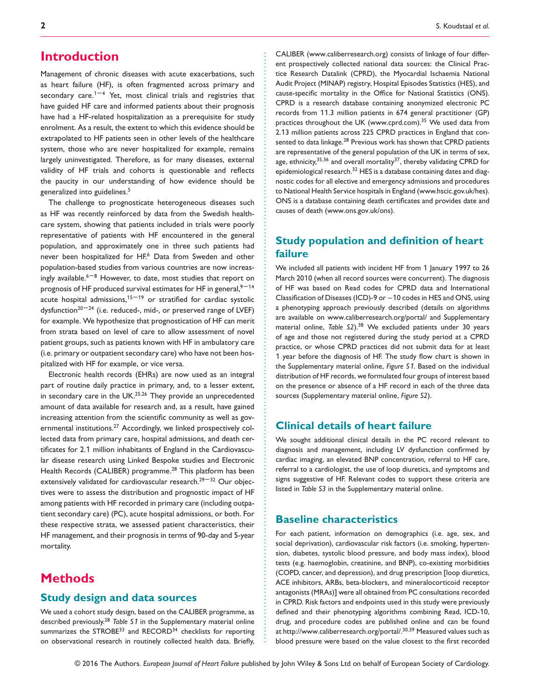## **Introduction**

Management of chronic diseases with acute exacerbations, such as heart failure (HF), is often fragmented across primary and secondary care. $1-4$  Yet, most clinical trials and registries that have guided HF care and informed patients about their prognosis have had a HF-related hospitalization as a prerequisite for study enrolment. As a result, the extent to which this evidence should be extrapolated to HF patients seen in other levels of the healthcare system, those who are never hospitalized for example, remains largely uninvestigated. Therefore, as for many diseases, external validity of HF trials and cohorts is questionable and reflects the paucity in our understanding of how evidence should be generalized into guidelines.<sup>5</sup>

The challenge to prognosticate heterogeneous diseases such as HF was recently reinforced by data from the Swedish healthcare system, showing that patients included in trials were poorly representative of patients with HF encountered in the general population, and approximately one in three such patients had never been hospitalized for HF.<sup>6</sup> Data from Sweden and other population-based studies from various countries are now increasingly available. $6-8$  However, to date, most studies that report on prognosis of HF produced survival estimates for HF in general,  $9-14$ acute hospital admissions, $15 - 19$  or stratified for cardiac systolic dysfunction<sup>20-24</sup> (i.e. reduced-, mid-, or preserved range of LVEF) for example. We hypothesize that prognostication of HF can merit from strata based on level of care to allow assessment of novel patient groups, such as patients known with HF in ambulatory care (i.e. primary or outpatient secondary care) who have not been hospitalized with HF for example, or vice versa.

Electronic health records (EHRs) are now used as an integral part of routine daily practice in primary, and, to a lesser extent, in secondary care in the UK.<sup>25</sup>*,*<sup>26</sup> They provide an unprecedented amount of data available for research and, as a result, have gained increasing attention from the scientific community as well as governmental institutions.<sup>27</sup> Accordingly, we linked prospectively collected data from primary care, hospital admissions, and death certificates for 2.1 million inhabitants of England in the Cardiovascular disease research using Linked Bespoke studies and Electronic Health Records (CALIBER) programme.<sup>28</sup> This platform has been extensively validated for cardiovascular research. $29-32$  Our objectives were to assess the distribution and prognostic impact of HF among patients with HF recorded in primary care (including outpatient secondary care) (PC), acute hospital admissions, or both. For these respective strata, we assessed patient characteristics, their HF management, and their prognosis in terms of 90-day and 5-year mortality.

# **Methods**

#### **Study design and data sources**

We used a cohort study design, based on the CALIBER programme, as described previously.<sup>28</sup> *Table S*1 in the Supplementary material online summarizes the STROBE<sup>33</sup> and RECORD<sup>34</sup> checklists for reporting on observational research in routinely collected health data. Briefly, CALIBER [\(www.caliberresearch.org\)](http://www.caliberresearch.org) consists of linkage of four different prospectively collected national data sources: the Clinical Practice Research Datalink (CPRD), the Myocardial Ischaemia National Audit Project (MINAP) registry, Hospital Episodes Statistics (HES), and cause-specific mortality in the Office for National Statistics (ONS). CPRD is a research database containing anonymized electronic PC records from 11.3 million patients in 674 general practitioner (GP) practices throughout the UK [\(www.cprd.com\)](http://www.cprd.com).<sup>35</sup> We used data from 2.13 million patients across 225 CPRD practices in England that consented to data linkage.<sup>28</sup> Previous work has shown that CPRD patients are representative of the general population of the UK in terms of sex, age, ethnicity,<sup>35</sup>*,*<sup>36</sup> and overall mortality37, thereby validating CPRD for epidemiological research.<sup>32</sup> HES is a database containing dates and diagnostic codes for all elective and emergency admissions and procedures to National Health Service hospitals in England [\(www.hscic.gov.uk/hes\)](http://www.hscic.gov.uk/hes). ONS is a database containing death certificates and provides date and causes of death [\(www.ons.gov.uk/ons\)](http://www.ons.gov.uk/ons).

## **Study population and definition of heart failure**

We included all patients with incident HF from 1 January 1997 to 26 March 2010 (when all record sources were concurrent). The diagnosis of HF was based on Read codes for CPRD data and International Classification of Diseases (ICD)-9 or −10 codes in HES and ONS, using a phenotyping approach previously described (details on algorithms are available on [www.caliberresearch.org/portal/](http://www.caliberresearch.org/portal/) and Supplementary material online, *Table S2*).<sup>38</sup> We excluded patients under 30 years of age and those not registered during the study period at a CPRD practice, or whose CPRD practices did not submit data for at least 1 year before the diagnosis of HF. The study flow chart is shown in the Supplementary material online, *Figure S*1. Based on the individual distribution of HF records, we formulated four groups of interest based on the presence or absence of a HF record in each of the three data sources (Supplementary material online, *Figure S2*).

#### **Clinical details of heart failure**

We sought additional clinical details in the PC record relevant to diagnosis and management, including LV dysfunction confirmed by cardiac imaging, an elevated BNP concentration, referral to HF care, referral to a cardiologist, the use of loop diuretics, and symptoms and signs suggestive of HF. Relevant codes to support these criteria are listed in *Table S3* in the Supplementary material online.

#### **Baseline characteristics**

For each patient, information on demographics (i.e. age, sex, and social deprivation), cardiovascular risk factors (i.e. smoking, hypertension, diabetes, systolic blood pressure, and body mass index), blood tests (e.g. haemoglobin, creatinine, and BNP), co-existing morbidities (COPD, cancer, and depression), and drug prescription [loop diuretics, ACE inhibitors, ARBs, beta-blockers, and mineralocorticoid receptor antagonists (MRAs)] were all obtained from PC consultations recorded in CPRD. Risk factors and endpoints used in this study were previously defined and their phenotyping algorithms combining Read, ICD-10, drug, and procedure codes are published online and can be found at [http://www.caliberresearch.org/portal/.](http://www.caliberresearch.org/portal/)<sup>30</sup>*,*<sup>39</sup> Measured values such as blood pressure were based on the value closest to the first recorded

............................................................... ................................................................ .........................................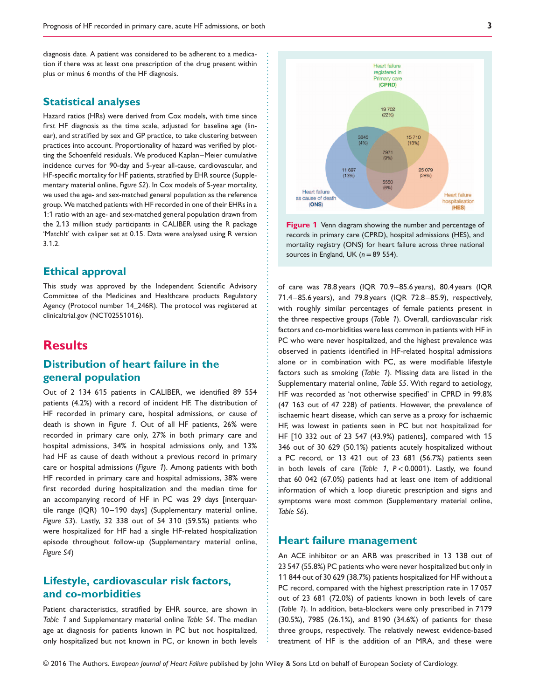diagnosis date. A patient was considered to be adherent to a medication if there was at least one prescription of the drug present within plus or minus 6 months of the HF diagnosis.

#### **Statistical analyses**

Hazard ratios (HRs) were derived from Cox models, with time since first HF diagnosis as the time scale, adjusted for baseline age (linear), and stratified by sex and GP practice, to take clustering between practices into account. Proportionality of hazard was verified by plotting the Schoenfeld residuals. We produced Kaplan–Meier cumulative incidence curves for 90-day and 5-year all-cause, cardiovascular, and HF-specific mortality for HF patients, stratified by EHR source (Supplementary material online, *Figure S2*). In Cox models of 5-year mortality, we used the age- and sex-matched general population as the reference group. We matched patients with HF recorded in one of their EHRs in a 1:1 ratio with an age- and sex-matched general population drawn from the 2.13 million study participants in CALIBER using the R package 'MatchIt' with caliper set at 0.15. Data were analysed using R version 3.1.2.

#### **Ethical approval**

This study was approved by the Independent Scientific Advisory Committee of the Medicines and Healthcare products Regulatory Agency (Protocol number 14\_246R). The protocol was registered at clinicaltrial.gov (NCT02551016).

## **Results**

## **Distribution of heart failure in the general population**

Out of 2 134 615 patients in CALIBER, we identified 89 554 patients (4.2%) with a record of incident HF. The distribution of HF recorded in primary care, hospital admissions, or cause of death is shown in *Figure* 1. Out of all HF patients, 26% were recorded in primary care only, 27% in both primary care and hospital admissions, 34% in hospital admissions only, and 13% had HF as cause of death without a previous record in primary care or hospital admissions (*Figure* 1). Among patients with both HF recorded in primary care and hospital admissions, 38% were first recorded during hospitalization and the median time for an accompanying record of HF in PC was 29 days [interquartile range (IQR) 10–190 days] (Supplementary material online, *Figure S3*). Lastly, 32 338 out of 54 310 (59.5%) patients who were hospitalized for HF had a single HF-related hospitalization episode throughout follow-up (Supplementary material online, *Figure S4*)

## **Lifestyle, cardiovascular risk factors, and co-morbidities**

Patient characteristics, stratified by EHR source, are shown in *Table* 1 and Supplementary material online *Table S4*. The median age at diagnosis for patients known in PC but not hospitalized, only hospitalized but not known in PC, or known in both levels



**Figure 1** Venn diagram showing the number and percentage of records in primary care (CPRD), hospital admissions (HES), and mortality registry (ONS) for heart failure across three national sources in England, UK (*n*=89 554).

of care was 78.8 years (IQR 70.9–85.6 years), 80.4 years (IQR 71.4–85.6 years), and 79.8 years (IQR 72.8–85.9), respectively, with roughly similar percentages of female patients present in the three respective groups (*Table* 1). Overall, cardiovascular risk factors and co-morbidities were less common in patients with HF in PC who were never hospitalized, and the highest prevalence was observed in patients identified in HF-related hospital admissions alone or in combination with PC, as were modifiable lifestyle factors such as smoking (*Table* 1). Missing data are listed in the Supplementary material online, *Table S5*. With regard to aetiology, HF was recorded as 'not otherwise specified' in CPRD in 99.8% (47 163 out of 47 228) of patients. However, the prevalence of ischaemic heart disease, which can serve as a proxy for ischaemic HF, was lowest in patients seen in PC but not hospitalized for HF [10 332 out of 23 547 (43.9%) patients], compared with 15 346 out of 30 629 (50.1%) patients acutely hospitalized without a PC record, or 13 421 out of 23 681 (56.7%) patients seen in both levels of care (*Table* 1, *P <*0.0001). Lastly, we found that 60 042 (67.0%) patients had at least one item of additional information of which a loop diuretic prescription and signs and symptoms were most common (Supplementary material online, *Table S6*).

#### **Heart failure management**

An ACE inhibitor or an ARB was prescribed in 13 138 out of 23 547 (55.8%) PC patients who were never hospitalized but only in 11 844 out of 30 629 (38.7%) patients hospitalized for HF without a PC record, compared with the highest prescription rate in 17 057 out of 23 681 (72.0%) of patients known in both levels of care (*Table* 1). In addition, beta-blockers were only prescribed in 7179 (30.5%), 7985 (26.1%), and 8190 (34.6%) of patients for these three groups, respectively. The relatively newest evidence-based treatment of HF is the addition of an MRA, and these were

............................................................... ................................................................ .........................................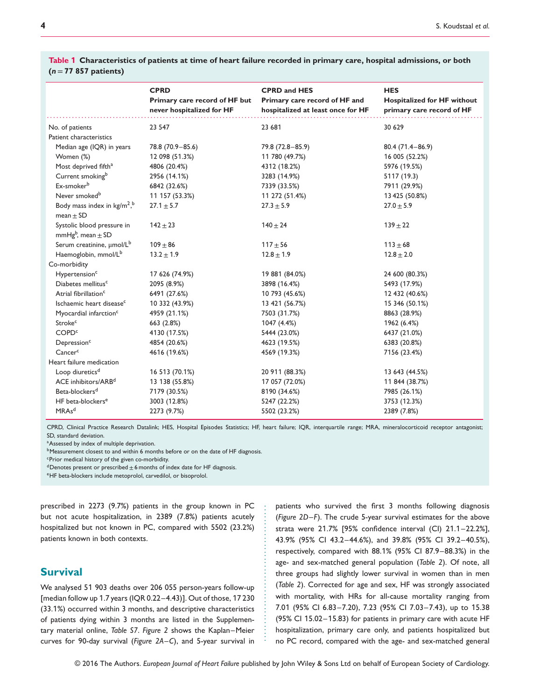|                                                                    | <b>CPRD</b><br>Primary care record of HF but<br>never hospitalized for HF | <b>CPRD and HES</b><br>Primary care record of HF and<br>hospitalized at least once for HF | <b>HES</b><br><b>Hospitalized for HF without</b><br>primary care record of HF |
|--------------------------------------------------------------------|---------------------------------------------------------------------------|-------------------------------------------------------------------------------------------|-------------------------------------------------------------------------------|
| No. of patients                                                    | 23 547                                                                    | 23 681                                                                                    | 30 629                                                                        |
| Patient characteristics                                            |                                                                           |                                                                                           |                                                                               |
| Median age (IQR) in years                                          | 78.8 (70.9 - 85.6)                                                        | 79.8 (72.8-85.9)                                                                          | $80.4(71.4 - 86.9)$                                                           |
| Women (%)                                                          | 12 098 (51.3%)                                                            | 11 780 (49.7%)                                                                            | 16 005 (52.2%)                                                                |
| Most deprived fifth <sup>a</sup>                                   | 4806 (20.4%)                                                              | 4312 (18.2%)                                                                              | 5976 (19.5%)                                                                  |
| Current smoking <sup>b</sup>                                       | 2956 (14.1%)                                                              | 3283 (14.9%)                                                                              | 5117 (19.3)                                                                   |
| Ex-smoker <sup>b</sup>                                             | 6842 (32.6%)                                                              | 7339 (33.5%)                                                                              | 7911 (29.9%)                                                                  |
| Never smoked <sup>b</sup>                                          | 11 157 (53.3%)                                                            | 11 272 (51.4%)                                                                            | 13 425 (50.8%)                                                                |
| Body mass index in $\text{kg/m}^2$ , <sup>b</sup><br>mean $\pm$ SD | $27.1 \pm 5.7$                                                            | $27.3 \pm 5.9$                                                                            | $27.0 \pm 5.9$                                                                |
| Systolic blood pressure in<br>mmHg <sup>b</sup> , mean $\pm$ SD    | $142 \pm 23$                                                              | $140 + 24$                                                                                | $139 + 22$                                                                    |
| Serum creatinine, µmol/L <sup>b</sup>                              | $109 + 86$                                                                | $117 + 56$                                                                                | $113 \pm 68$                                                                  |
| Haemoglobin, mmol/L <sup>b</sup>                                   | $13.2 \pm 1.9$                                                            | $12.8 \pm 1.9$                                                                            | $12.8 \pm 2.0$                                                                |
| Co-morbidity                                                       |                                                                           |                                                                                           |                                                                               |
| Hypertension <sup>c</sup>                                          | 17 626 (74.9%)                                                            | 19 881 (84.0%)                                                                            | 24 600 (80.3%)                                                                |
| Diabetes mellitus <sup>c</sup>                                     | 2095 (8.9%)                                                               | 3898 (16.4%)                                                                              | 5493 (17.9%)                                                                  |
| Atrial fibrillation <sup>c</sup>                                   | 6491 (27.6%)                                                              | 10 793 (45.6%)                                                                            | 12 432 (40.6%)                                                                |
| Ischaemic heart disease <sup>c</sup>                               | 10 332 (43.9%)                                                            | 13 421 (56.7%)                                                                            | 15 346 (50.1%)                                                                |
| Myocardial infarction <sup>c</sup>                                 | 4959 (21.1%)                                                              | 7503 (31.7%)                                                                              | 8863 (28.9%)                                                                  |
| Stroke <sup>c</sup>                                                | 663 (2.8%)                                                                | 1047 (4.4%)                                                                               | 1962 (6.4%)                                                                   |
| COPD <sup>c</sup>                                                  | 4130 (17.5%)                                                              | 5444 (23.0%)                                                                              | 6437 (21.0%)                                                                  |
| Depression <sup>c</sup>                                            | 4854 (20.6%)                                                              | 4623 (19.5%)                                                                              | 6383 (20.8%)                                                                  |
| Cancer <sup>c</sup>                                                | 4616 (19.6%)                                                              | 4569 (19.3%)                                                                              | 7156 (23.4%)                                                                  |
| Heart failure medication                                           |                                                                           |                                                                                           |                                                                               |
| Loop diuretics <sup>d</sup>                                        | 16 513 (70.1%)                                                            | 20 911 (88.3%)                                                                            | 13 643 (44.5%)                                                                |
| ACE inhibitors/ARB <sup>d</sup>                                    | 13 138 (55.8%)                                                            | 17 057 (72.0%)                                                                            | 11 844 (38.7%)                                                                |
| Beta-blockers <sup>d</sup>                                         | 7179 (30.5%)                                                              | 8190 (34.6%)                                                                              | 7985 (26.1%)                                                                  |
| HF beta-blockers <sup>e</sup>                                      | 3003 (12.8%)                                                              | 5247 (22.2%)                                                                              | 3753 (12.3%)                                                                  |
| MRAs <sup>d</sup>                                                  | 2273 (9.7%)                                                               | 5502 (23.2%)                                                                              | 2389 (7.8%)                                                                   |

**Table 1 Characteristics of patients at time of heart failure recorded in primary care, hospital admissions, or both (***n*=**77 857 patients)**

CPRD, Clinical Practice Research Datalink; HES, Hospital Episodes Statistics; HF, heart failure; IQR, interquartile range; MRA, mineralocorticoid receptor antagonist; SD, standard deviation.

.......................................

<sup>a</sup>Assessed by index of multiple deprivation.

**bMeasurement closest to and within 6 months before or on the date of HF diagnosis.** 

cPrior medical history of the given co-morbidity.

 $d$ Denotes present or prescribed  $\pm$  6 months of index date for HF diagnosis.

eHF beta-blockers include metoprolol, carvedilol, or bisoprolol.

prescribed in 2273 (9.7%) patients in the group known in PC but not acute hospitalization, in 2389 (7.8%) patients acutely hospitalized but not known in PC, compared with 5502 (23.2%) patients known in both contexts.

#### **Survival**

We analysed 51 903 deaths over 206 055 person-years follow-up [median follow up 1.7 years (IQR 0.22–4.43)]. Out of those, 17 230 (33.1%) occurred within 3 months, and descriptive characteristics of patients dying within 3 months are listed in the Supplementary material online, *Table S7*. *Figure 2* shows the Kaplan–Meier curves for 90-day survival (*Figure 2A–C*), and 5-year survival in patients who survived the first 3 months following diagnosis (*Figure 2D–F*). The crude 5-year survival estimates for the above strata were 21.7% [95% confidence interval (CI) 21.1–22.2%], 43.9% (95% CI 43.2–44.6%), and 39.8% (95% CI 39.2–40.5%), respectively, compared with 88.1% (95% CI 87.9–88.3%) in the age- and sex-matched general population (*Table 2*). Of note, all three groups had slightly lower survival in women than in men (*Table 2*). Corrected for age and sex, HF was strongly associated with mortality, with HRs for all-cause mortality ranging from 7.01 (95% CI 6.83–7.20), 7.23 (95% CI 7.03–7.43), up to 15.38 (95% CI 15.02–15.83) for patients in primary care with acute HF hospitalization, primary care only, and patients hospitalized but no PC record, compared with the age- and sex-matched general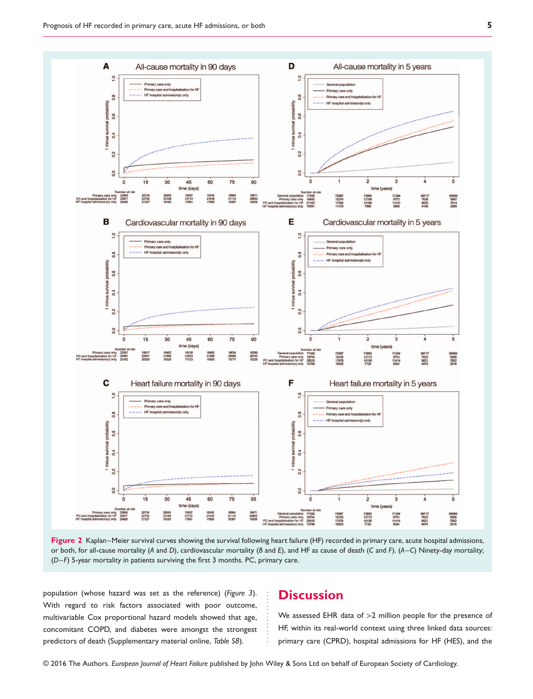

Figure 2 Kaplan–Meier survival curves showing the survival following heart failure (HF) recorded in primary care, acute hospital admissions, or both, for all-cause mortality (*A* and *D*), cardiovascular mortality (*B* and *E*), and HF as cause of death (*C* and *F*). (*A–C*) Ninety-day mortality; (*D–F*) 5-year mortality in patients surviving the first 3 months. PC, primary care.

...............

population (whose hazard was set as the reference) (*Figure 3*). With regard to risk factors associated with poor outcome, multivariable Cox proportional hazard models showed that age, concomitant COPD, and diabetes were amongst the strongest predictors of death (Supplementary material online, *Table S8*).

## **Discussion**

We assessed EHR data of *>*2 million people for the presence of HF, within its real-world context using three linked data sources: primary care (CPRD), hospital admissions for HF (HES), and the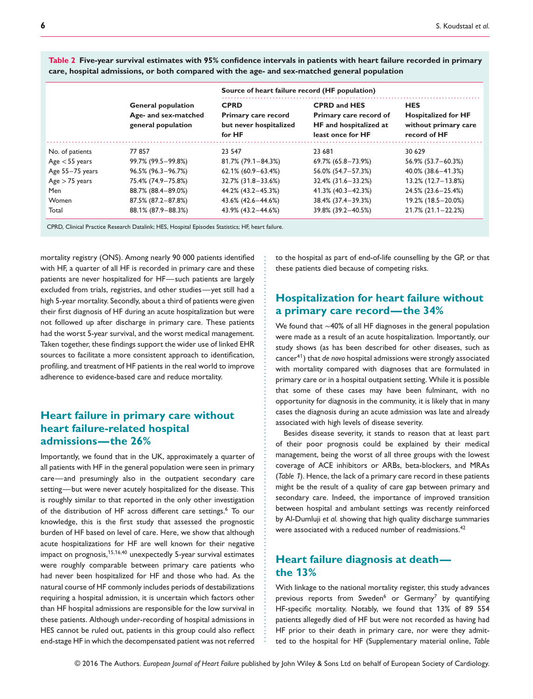|                  |                                                                         | Source of heart failure record (HF population)                                |                                                                                              |                                                                                  |  |
|------------------|-------------------------------------------------------------------------|-------------------------------------------------------------------------------|----------------------------------------------------------------------------------------------|----------------------------------------------------------------------------------|--|
|                  | <b>General population</b><br>Age- and sex-matched<br>general population | <b>CPRD</b><br><b>Primary care record</b><br>but never hospitalized<br>for HF | <b>CPRD and HES</b><br>Primary care record of<br>HF and hospitalized at<br>least once for HF | <b>HES</b><br><b>Hospitalized for HF</b><br>without primary care<br>record of HF |  |
| No. of patients  | 77857                                                                   | 23 547                                                                        | 23 681                                                                                       | 30.629                                                                           |  |
| Age $<$ 55 years | 99.7% (99.5 - 99.8%)                                                    | $81.7\%$ (79.1-84.3%)                                                         | 69.7% (65.8-73.9%)                                                                           | 56.9% (53.7-60.3%)                                                               |  |
| Age 55-75 years  | 96.5% (96.3-96.7%)                                                      | $62.1\%$ $(60.9 - 63.4\%)$                                                    | 56.0% (54.7-57.3%)                                                                           | 40.0% (38.6 - 41.3%)                                                             |  |
| Age > 75 years   | 75.4% (74.9-75.8%)                                                      | 32.7% (31.8 - 33.6%)                                                          | 32.4% (31.6 - 33.2%)                                                                         | 13.2% (12.7 - 13.8%)                                                             |  |
| Men              | 88.7% (88.4-89.0%)                                                      | 44.2% (43.2-45.3%)                                                            | 41.3% (40.3 - 42.3%)                                                                         | 24.5% (23.6 - 25.4%)                                                             |  |
| Women            | 87.5% (87.2-87.8%)                                                      | 43.6% (42.6 - 44.6%)                                                          | 38.4% (37.4 - 39.3%)                                                                         | 19.2% (18.5 - 20.0%)                                                             |  |
| Total            | 88.1% (87.9-88.3%)                                                      | 43.9% (43.2-44.6%)                                                            | 39.8% (39.2-40.5%)                                                                           | $21.7\%$ (21.1 - 22.2%)                                                          |  |

**Table 2 Five-year survival estimates with 95% confidence intervals in patients with heart failure recorded in primary care, hospital admissions, or both compared with the age- and sex-matched general population**

CPRD, Clinical Practice Research Datalink; HES, Hospital Episodes Statistics; HF, heart failure.

mortality registry (ONS). Among nearly 90 000 patients identified with HF, a quarter of all HF is recorded in primary care and these patients are never hospitalized for HF—such patients are largely excluded from trials, registries, and other studies—yet still had a high 5-year mortality. Secondly, about a third of patients were given their first diagnosis of HF during an acute hospitalization but were not followed up after discharge in primary care. These patients had the worst 5-year survival, and the worst medical management. Taken together, these findings support the wider use of linked EHR sources to facilitate a more consistent approach to identification, profiling, and treatment of HF patients in the real world to improve adherence to evidence-based care and reduce mortality.

## **Heart failure in primary care without heart failure-related hospital admissions—the 26%**

Importantly, we found that in the UK, approximately a quarter of all patients with HF in the general population were seen in primary care—and presumingly also in the outpatient secondary care setting—but were never acutely hospitalized for the disease. This is roughly similar to that reported in the only other investigation of the distribution of HF across different care settings.<sup>6</sup> To our knowledge, this is the first study that assessed the prognostic burden of HF based on level of care. Here, we show that although acute hospitalizations for HF are well known for their negative impact on prognosis,<sup>1</sup>5*,*16*,*<sup>40</sup> unexpectedly 5-year survival estimates were roughly comparable between primary care patients who had never been hospitalized for HF and those who had. As the natural course of HF commonly includes periods of destabilizations requiring a hospital admission, it is uncertain which factors other than HF hospital admissions are responsible for the low survival in these patients. Although under-recording of hospital admissions in HES cannot be ruled out, patients in this group could also reflect end-stage HF in which the decompensated patient was not referred to the hospital as part of end-of-life counselling by the GP, or that these patients died because of competing risks.

## **Hospitalization for heart failure without a primary care record—the 34%**

We found that ∼40% of all HF diagnoses in the general population were made as a result of an acute hospitalization. Importantly, our study shows (as has been described for other diseases, such as cancer4<sup>1</sup>) that *de novo* hospital admissions were strongly associated with mortality compared with diagnoses that are formulated in primary care or in a hospital outpatient setting. While it is possible that some of these cases may have been fulminant, with no opportunity for diagnosis in the community, it is likely that in many cases the diagnosis during an acute admission was late and already associated with high levels of disease severity.

Besides disease severity, it stands to reason that at least part of their poor prognosis could be explained by their medical management, being the worst of all three groups with the lowest coverage of ACE inhibitors or ARBs, beta-blockers, and MRAs (*Table* 1). Hence, the lack of a primary care record in these patients might be the result of a quality of care gap between primary and secondary care. Indeed, the importance of improved transition between hospital and ambulant settings was recently reinforced by Al-Dumluji *et al.* showing that high quality discharge summaries were associated with a reduced number of readmissions.<sup>42</sup>

## **Heart failure diagnosis at death the 13%**

With linkage to the national mortality register, this study advances previous reports from Sweden<sup>6</sup> or Germany<sup>7</sup> by quantifying HF-specific mortality. Notably, we found that 13% of 89 554 patients allegedly died of HF but were not recorded as having had HF prior to their death in primary care, nor were they admitted to the hospital for HF (Supplementary material online, *Table*

........................................................ ......................................................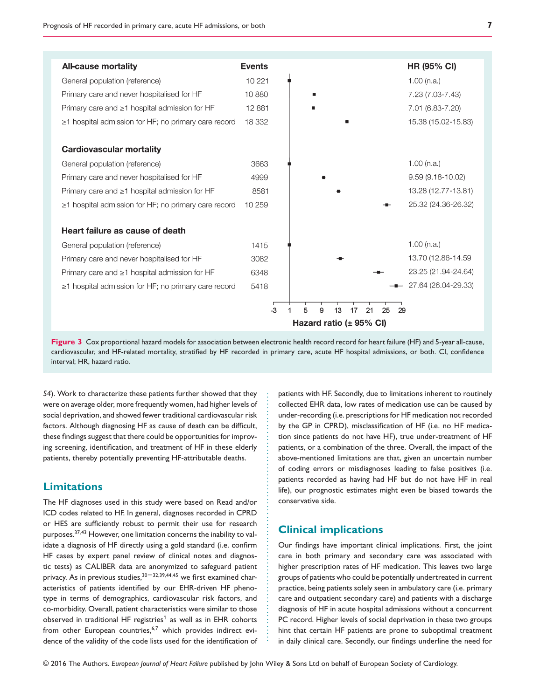

**Figure 3** Cox proportional hazard models for association between electronic health record record for heart failure (HF) and 5-year all-cause, cardiovascular, and HF-related mortality, stratified by HF recorded in primary care, acute HF hospital admissions, or both. CI, confidence interval; HR, hazard ratio.

.......................................................................

*S4*). Work to characterize these patients further showed that they were on average older, more frequently women, had higher levels of social deprivation, and showed fewer traditional cardiovascular risk factors. Although diagnosing HF as cause of death can be difficult, these findings suggest that there could be opportunities for improving screening, identification, and treatment of HF in these elderly patients, thereby potentially preventing HF-attributable deaths.

#### **Limitations**

The HF diagnoses used in this study were based on Read and/or ICD codes related to HF. In general, diagnoses recorded in CPRD or HES are sufficiently robust to permit their use for research purposes.37*,*<sup>43</sup> However, one limitation concerns the inability to validate a diagnosis of HF directly using a gold standard (i.e. confirm HF cases by expert panel review of clinical notes and diagnostic tests) as CALIBER data are anonymized to safeguard patient privacy. As in previous studies,<sup>30-32,39,44,45</sup> we first examined characteristics of patients identified by our EHR-driven HF phenotype in terms of demographics, cardiovascular risk factors, and co-morbidity. Overall, patient characteristics were similar to those observed in traditional HF registries<sup>1</sup> as well as in EHR cohorts from other European countries,<sup>6,7</sup> which provides indirect evidence of the validity of the code lists used for the identification of patients with HF. Secondly, due to limitations inherent to routinely collected EHR data, low rates of medication use can be caused by under-recording (i.e. prescriptions for HF medication not recorded by the GP in CPRD), misclassification of HF (i.e. no HF medication since patients do not have HF), true under-treatment of HF patients, or a combination of the three. Overall, the impact of the above-mentioned limitations are that, given an uncertain number of coding errors or misdiagnoses leading to false positives (i.e. patients recorded as having had HF but do not have HF in real life), our prognostic estimates might even be biased towards the conservative side.

#### **Clinical implications**

Our findings have important clinical implications. First, the joint care in both primary and secondary care was associated with higher prescription rates of HF medication. This leaves two large groups of patients who could be potentially undertreated in current practice, being patients solely seen in ambulatory care (i.e. primary care and outpatient secondary care) and patients with a discharge diagnosis of HF in acute hospital admissions without a concurrent PC record. Higher levels of social deprivation in these two groups hint that certain HF patients are prone to suboptimal treatment in daily clinical care. Secondly, our findings underline the need for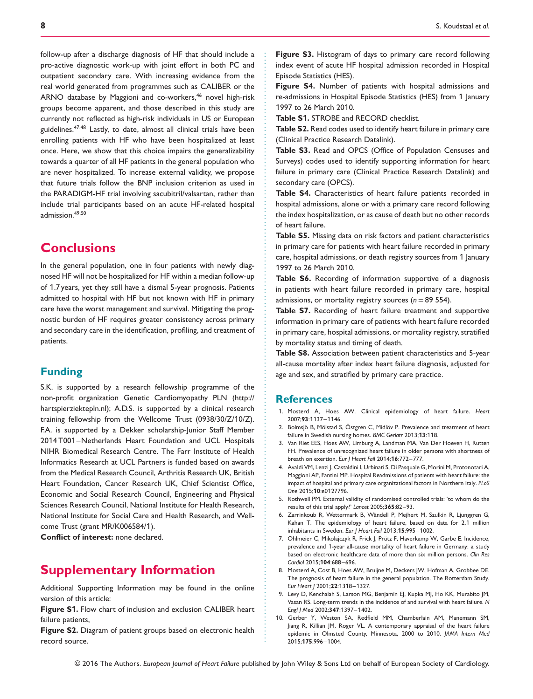follow-up after a discharge diagnosis of HF that should include a pro-active diagnostic work-up with joint effort in both PC and outpatient secondary care. With increasing evidence from the real world generated from programmes such as CALIBER or the ARNO database by Maggioni and co-workers,<sup>46</sup> novel high-risk groups become apparent, and those described in this study are currently not reflected as high-risk individuals in US or European guidelines.47*,*<sup>48</sup> Lastly, to date, almost all clinical trials have been enrolling patients with HF who have been hospitalized at least once. Here, we show that this choice impairs the generalizability towards a quarter of all HF patients in the general population who are never hospitalized. To increase external validity, we propose that future trials follow the BNP inclusion criterion as used in the PARADIGM-HF trial involving sacubitril/valsartan, rather than include trial participants based on an acute HF-related hospital admission.49*,*<sup>50</sup>

# **Conclusions**

In the general population, one in four patients with newly diagnosed HF will not be hospitalized for HF within a median follow-up of 1.7 years, yet they still have a dismal 5-year prognosis. Patients admitted to hospital with HF but not known with HF in primary care have the worst management and survival. Mitigating the prognostic burden of HF requires greater consistency across primary and secondary care in the identification, profiling, and treatment of patients.

#### **Funding**

S.K. is supported by a research fellowship programme of the non-profit organization Genetic Cardiomyopathy PLN [\(http://](http://hartspierziektepln.nl) [hartspierziektepln.nl\)](http://hartspierziektepln.nl); A.D.S. is supported by a clinical research training fellowship from the Wellcome Trust (0938/30/Z/10/Z). F.A. is supported by a Dekker scholarship-Junior Staff Member 2014 T001–Netherlands Heart Foundation and UCL Hospitals NIHR Biomedical Research Centre. The Farr Institute of Health Informatics Research at UCL Partners is funded based on awards from the Medical Research Council, Arthritis Research UK, British Heart Foundation, Cancer Research UK, Chief Scientist Office, Economic and Social Research Council, Engineering and Physical Sciences Research Council, National Institute for Health Research, National Institute for Social Care and Health Research, and Wellcome Trust (grant MR/K006584/1).

**Conflict of interest:** none declared.

## **Supplementary Information**

Additional Supporting Information may be found in the online version of this article:

**Figure S1.** Flow chart of inclusion and exclusion CALIBER heart failure patients,

**Figure S2.** Diagram of patient groups based on electronic health record source.

**Figure S3.** Histogram of days to primary care record following index event of acute HF hospital admission recorded in Hospital Episode Statistics (HES).

**Figure S4.** Number of patients with hospital admissions and re-admissions in Hospital Episode Statistics (HES) from 1 January 1997 to 26 March 2010.

**Table S1.** STROBE and RECORD checklist.

**Table S2.** Read codes used to identify heart failure in primary care (Clinical Practice Research Datalink).

**Table S3.** Read and OPCS (Office of Population Censuses and Surveys) codes used to identify supporting information for heart failure in primary care (Clinical Practice Research Datalink) and secondary care (OPCS).

**Table S4.** Characteristics of heart failure patients recorded in hospital admissions, alone or with a primary care record following the index hospitalization, or as cause of death but no other records of heart failure.

**Table S5.** Missing data on risk factors and patient characteristics in primary care for patients with heart failure recorded in primary care, hospital admissions, or death registry sources from 1 January 1997 to 26 March 2010.

**Table S6.** Recording of information supportive of a diagnosis in patients with heart failure recorded in primary care, hospital admissions, or mortality registry sources (*n*=89 554).

**Table S7.** Recording of heart failure treatment and supportive information in primary care of patients with heart failure recorded in primary care, hospital admissions, or mortality registry, stratified by mortality status and timing of death.

**Table S8.** Association between patient characteristics and 5-year all-cause mortality after index heart failure diagnosis, adjusted for age and sex, and stratified by primary care practice.

#### **References**

............................................................... ................................................................ .........................................

- 1. Mosterd A, Hoes AW. Clinical epidemiology of heart failure. *Heart* 2007;**93**:1137–1146.
- 2. Bolmsjö B, Mölstad S, Östgren C, Midlöv P. Prevalence and treatment of heart failure in Swedish nursing homes. *BMC Geriatr* 2013;**13**:118.
- 3. Van Riet EES, Hoes AW, Limburg A, Landman MA, Van Der Hoeven H, Rutten FH. Prevalence of unrecognized heart failure in older persons with shortness of breath on exertion. *Eur J Heart Fail* 2014;**16**:772–777.
- 4. Avaldi VM, Lenzi J, Castaldini I, Urbinati S, Di Pasquale G, Morini M, Protonotari A, Maggioni AP, Fantini MP. Hospital Readmissions of patients with heart failure: the impact of hospital and primary care organizational factors in Northern Italy. *PLoS One* 2015;**10**:e0127796.
- 5. Rothwell PM. External validity of randomised controlled trials: 'to whom do the results of this trial apply?' *Lancet* 2005;**365**:82–93.
- 6. Zarrinkoub R, Wettermark B, Wändell P, Mejhert M, Szulkin R, Ljunggren G, Kahan T. The epidemiology of heart failure, based on data for 2.1 million inhabitants in Sweden. *Eur J Heart Fail* 2013;**15**:995–1002.
- 7. Ohlmeier C, Mikolajczyk R, Frick J, Prütz F, Haverkamp W, Garbe E. Incidence, prevalence and 1-year all-cause mortality of heart failure in Germany: a study based on electronic healthcare data of more than six million persons. *Clin Res Cardiol* 2015;**104**:688–696.
- 8. Mosterd A, Cost B, Hoes AW, Bruijne M, Deckers JW, Hofman A, Grobbee DE. The prognosis of heart failure in the general population. The Rotterdam Study. *Eur Heart J* 2001;**22**:1318–1327.
- 9. Levy D, Kenchaiah S, Larson MG, Benjamin EJ, Kupka MJ, Ho KK, Murabito JM, Vasan RS. Long-term trends in the incidence of and survival with heart failure. *N Engl J Med* 2002;**347**:1397–1402.
- 10. Gerber Y, Weston SA, Redfield MM, Chamberlain AM, Manemann SM, Jiang R, Killian JM, Roger VL. A contemporary appraisal of the heart failure epidemic in Olmsted County, Minnesota, 2000 to 2010. *JAMA Intern Med* 2015;**175**:996–1004.